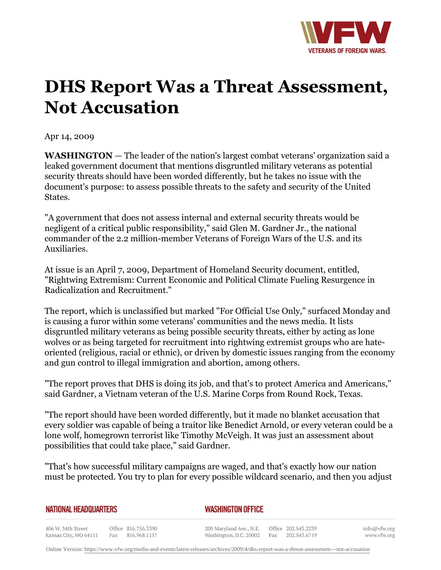

## **DHS Report Was a Threat Assessment, Not Accusation**

Apr 14, 2009

**WASHINGTON** *—* The leader of the nation's largest combat veterans' organization said a leaked government document that mentions disgruntled military veterans as potential security threats should have been worded differently, but he takes no issue with the document's purpose: to assess possible threats to the safety and security of the United States.

"A government that does not assess internal and external security threats would be negligent of a critical public responsibility," said Glen M. Gardner Jr., the national commander of the 2.2 million-member Veterans of Foreign Wars of the U.S. and its Auxiliaries.

At issue is an April 7, 2009, Department of Homeland Security document, entitled, "Rightwing Extremism: Current Economic and Political Climate Fueling Resurgence in Radicalization and Recruitment."

The report, which is unclassified but marked "For Official Use Only," surfaced Monday and is causing a furor within some veterans' communities and the news media. It lists disgruntled military veterans as being possible security threats, either by acting as lone wolves or as being targeted for recruitment into rightwing extremist groups who are hateoriented (religious, racial or ethnic), or driven by domestic issues ranging from the economy and gun control to illegal immigration and abortion, among others.

"The report proves that DHS is doing its job, and that's to protect America and Americans," said Gardner, a Vietnam veteran of the U.S. Marine Corps from Round Rock, Texas.

"The report should have been worded differently, but it made no blanket accusation that every soldier was capable of being a traitor like Benedict Arnold, or every veteran could be a lone wolf, homegrown terrorist like Timothy McVeigh. It was just an assessment about possibilities that could take place," said Gardner.

"That's how successful military campaigns are waged, and that's exactly how our nation must be protected. You try to plan for every possible wildcard scenario, and then you adjust

*WASHINGTON OFFICE* 

406 W. 34th Street Office 816.756.3390 Fax 816.968.1157 Kansas City, MO 64111

200 Maryland Ave., N.E. Washington, D.C. 20002

Office 202.543.2239 Fax 202.543.6719 info@vfw.org www.vfw.org

Online Version:<https://www.vfw.org/media-and-events/latest-releases/archives/2009/4/dhs-report-was-a-threat-assessment---not-accusation>